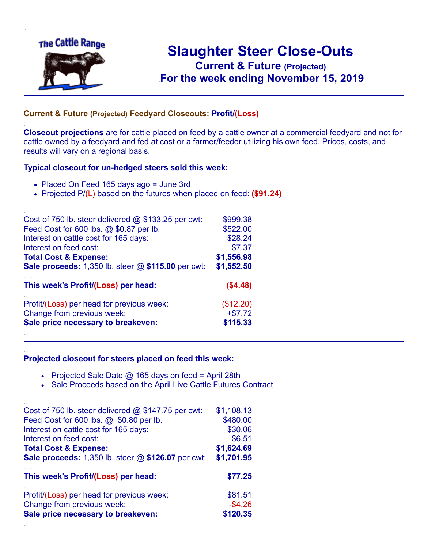

.

..

## **Slaughter Steer Close-Outs Current & Future (Projected)** .**For the week ending November 15, 2019**

## **Current & Future (Projected) Feedyard Closeouts: Profit/(Loss)**

**Closeout projections** are for cattle placed on feed by a cattle owner at a commercial feedyard and not for cattle owned by a feedyard and fed at cost or a farmer/feeder utilizing his own feed. Prices, costs, and results will vary on a regional basis.

## **Typical closeout for un-hedged steers sold this week:**

- Placed On Feed 165 days ago = June 3rd
- Projected P/(L) based on the futures when placed on feed: **(\$91.24)**

| Cost of 750 lb. steer delivered $@$ \$133.25 per cwt: | \$999.38   |
|-------------------------------------------------------|------------|
| Feed Cost for 600 lbs. @ \$0.87 per lb.               | \$522.00   |
| Interest on cattle cost for 165 days:                 | \$28.24    |
| Interest on feed cost:                                | \$7.37     |
| <b>Total Cost &amp; Expense:</b>                      | \$1,556.98 |
| Sale proceeds: 1,350 lb. steer @ \$115.00 per cwt:    | \$1,552.50 |
| This week's Profit/(Loss) per head:                   | (\$4.48)   |
| Profit/(Loss) per head for previous week:             | (\$12.20)  |
| Change from previous week:                            | $+ $7.72$  |
| Sale price necessary to breakeven:                    | \$115.33   |
|                                                       |            |

## **Projected closeout for steers placed on feed this week:**

- Projected Sale Date  $@$  165 days on feed = April 28th
- Sale Proceeds based on the April Live Cattle Futures Contract

| Cost of 750 lb. steer delivered $@$ \$147.75 per cwt:     | \$1,108.13 |
|-----------------------------------------------------------|------------|
| Feed Cost for 600 lbs. @ \$0.80 per lb.                   | \$480.00   |
| Interest on cattle cost for 165 days:                     | \$30.06    |
| Interest on feed cost:                                    | \$6.51     |
| <b>Total Cost &amp; Expense:</b>                          | \$1,624.69 |
| <b>Sale proceeds:</b> 1,350 lb. steer @ \$126.07 per cwt: | \$1,701.95 |
| This week's Profit/(Loss) per head:                       | \$77.25    |
|                                                           |            |
| Profit/(Loss) per head for previous week:                 | \$81.51    |
| Change from previous week:                                | $-$4.26$   |
| Sale price necessary to breakeven:                        | \$120.35   |